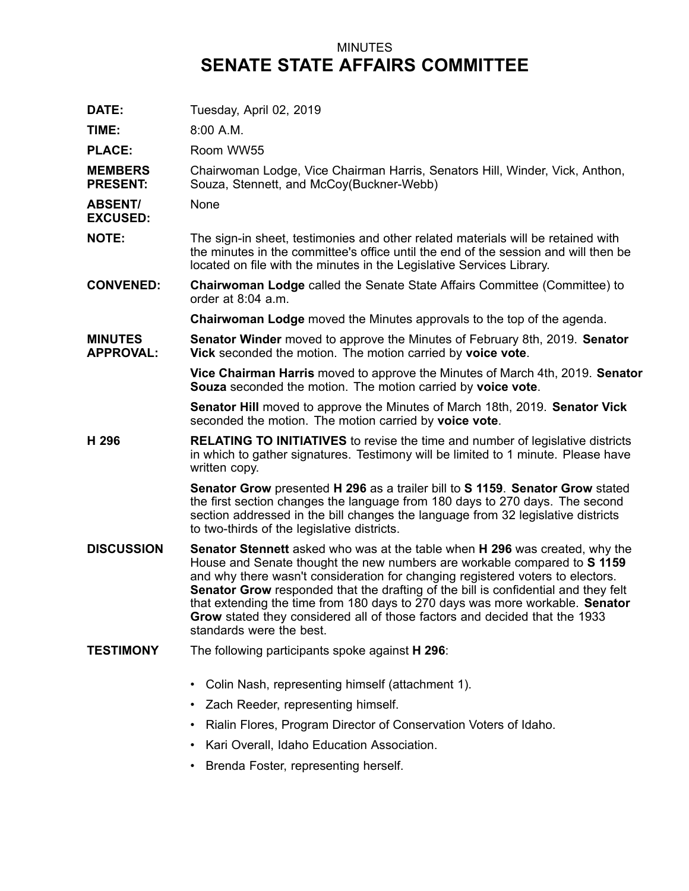## MINUTES **SENATE STATE AFFAIRS COMMITTEE**

| DATE:                              | Tuesday, April 02, 2019                                                                                                                                                                                                                                                                                                                                                                                                                                                                                                                 |
|------------------------------------|-----------------------------------------------------------------------------------------------------------------------------------------------------------------------------------------------------------------------------------------------------------------------------------------------------------------------------------------------------------------------------------------------------------------------------------------------------------------------------------------------------------------------------------------|
| TIME:                              | $8:00$ A.M.                                                                                                                                                                                                                                                                                                                                                                                                                                                                                                                             |
| <b>PLACE:</b>                      | Room WW55                                                                                                                                                                                                                                                                                                                                                                                                                                                                                                                               |
| <b>MEMBERS</b><br><b>PRESENT:</b>  | Chairwoman Lodge, Vice Chairman Harris, Senators Hill, Winder, Vick, Anthon,<br>Souza, Stennett, and McCoy(Buckner-Webb)                                                                                                                                                                                                                                                                                                                                                                                                                |
| <b>ABSENT/</b><br><b>EXCUSED:</b>  | None                                                                                                                                                                                                                                                                                                                                                                                                                                                                                                                                    |
| <b>NOTE:</b>                       | The sign-in sheet, testimonies and other related materials will be retained with<br>the minutes in the committee's office until the end of the session and will then be<br>located on file with the minutes in the Legislative Services Library.                                                                                                                                                                                                                                                                                        |
| <b>CONVENED:</b>                   | <b>Chairwoman Lodge called the Senate State Affairs Committee (Committee) to</b><br>order at $8:04$ a.m.                                                                                                                                                                                                                                                                                                                                                                                                                                |
|                                    | <b>Chairwoman Lodge</b> moved the Minutes approvals to the top of the agenda.                                                                                                                                                                                                                                                                                                                                                                                                                                                           |
| <b>MINUTES</b><br><b>APPROVAL:</b> | <b>Senator Winder</b> moved to approve the Minutes of February 8th, 2019. <b>Senator</b><br>Vick seconded the motion. The motion carried by voice vote.                                                                                                                                                                                                                                                                                                                                                                                 |
|                                    | Vice Chairman Harris moved to approve the Minutes of March 4th, 2019. Senator<br>Souza seconded the motion. The motion carried by voice vote.                                                                                                                                                                                                                                                                                                                                                                                           |
|                                    | Senator Hill moved to approve the Minutes of March 18th, 2019. Senator Vick<br>seconded the motion. The motion carried by voice vote.                                                                                                                                                                                                                                                                                                                                                                                                   |
| H 296                              | <b>RELATING TO INITIATIVES</b> to revise the time and number of legislative districts<br>in which to gather signatures. Testimony will be limited to 1 minute. Please have<br>written copy.                                                                                                                                                                                                                                                                                                                                             |
|                                    | Senator Grow presented H 296 as a trailer bill to S 1159. Senator Grow stated<br>the first section changes the language from 180 days to 270 days. The second<br>section addressed in the bill changes the language from 32 legislative districts<br>to two-thirds of the legislative districts.                                                                                                                                                                                                                                        |
| <b>DISCUSSION</b>                  | <b>Senator Stennett</b> asked who was at the table when <b>H 296</b> was created, why the<br>House and Senate thought the new numbers are workable compared to S 1159<br>and why there wasn't consideration for changing registered voters to electors.<br>Senator Grow responded that the drafting of the bill is confidential and they felt<br>that extending the time from 180 days to 270 days was more workable. Senator<br>Grow stated they considered all of those factors and decided that the 1933<br>standards were the best. |
| <b>TESTIMONY</b>                   | The following participants spoke against H 296:                                                                                                                                                                                                                                                                                                                                                                                                                                                                                         |
|                                    | Colin Nash, representing himself (attachment 1).                                                                                                                                                                                                                                                                                                                                                                                                                                                                                        |
|                                    | Zach Reeder, representing himself.                                                                                                                                                                                                                                                                                                                                                                                                                                                                                                      |
|                                    | Rialin Flores, Program Director of Conservation Voters of Idaho.                                                                                                                                                                                                                                                                                                                                                                                                                                                                        |
|                                    | Kari Overall, Idaho Education Association.                                                                                                                                                                                                                                                                                                                                                                                                                                                                                              |
|                                    |                                                                                                                                                                                                                                                                                                                                                                                                                                                                                                                                         |

• Brenda Foster, representing herself.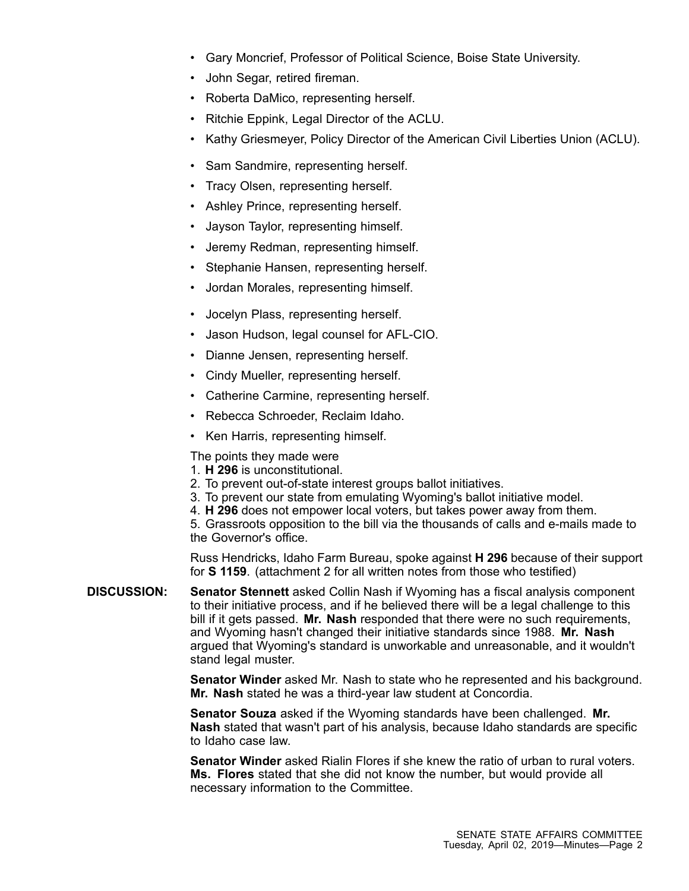- •Gary Moncrief, Professor of Political Science, Boise State University.
- •John Segar, retired fireman.
- Roberta DaMico, representing herself.
- Ritchie Eppink, Legal Director of the ACLU.
- •Kathy Griesmeyer, Policy Director of the American Civil Liberties Union (ACLU).
- Sam Sandmire, representing herself.
- •Tracy Olsen, representing herself.
- Ashley Prince, representing herself.
- •Jayson Taylor, representing himself.
- •Jeremy Redman, representing himself.
- •Stephanie Hansen, representing herself.
- •Jordan Morales, representing himself.
- •Jocelyn Plass, representing herself.
- •Jason Hudson, legal counsel for AFL-CIO.
- Dianne Jensen, representing herself.
- Cindy Mueller, representing herself.
- Catherine Carmine, representing herself.
- Rebecca Schroeder, Reclaim Idaho.
- Ken Harris, representing himself.

The points they made were

- 1. **H 296** is unconstitutional.
- 2. To prevent out-of-state interest groups ballot initiatives.
- 3. To prevent our state from emulating Wyoming's ballot initiative model.
- 4. **H 296** does not empower local voters, but takes power away from them.

5. Grassroots opposition to the bill via the thousands of calls and e-mails made to the Governor's office.

Russ Hendricks, Idaho Farm Bureau, spoke against **H 296** because of their support for **S 1159**. (attachment 2 for all written notes from those who testified)

**DISCUSSION: Senator Stennett** asked Collin Nash if Wyoming has <sup>a</sup> fiscal analysis component to their initiative process, and if he believed there will be <sup>a</sup> legal challenge to this bill if it gets passed. **Mr. Nash** responded that there were no such requirements, and Wyoming hasn't changed their initiative standards since 1988. **Mr. Nash** argued that Wyoming's standard is unworkable and unreasonable, and it wouldn't stand legal muster.

> **Senator Winder** asked Mr. Nash to state who he represented and his background. **Mr. Nash** stated he was <sup>a</sup> third-year law student at Concordia.

> **Senator Souza** asked if the Wyoming standards have been challenged. **Mr. Nash** stated that wasn't part of his analysis, because Idaho standards are specific to Idaho case law.

> **Senator Winder** asked Rialin Flores if she knew the ratio of urban to rural voters. **Ms. Flores** stated that she did not know the number, but would provide all necessary information to the Committee.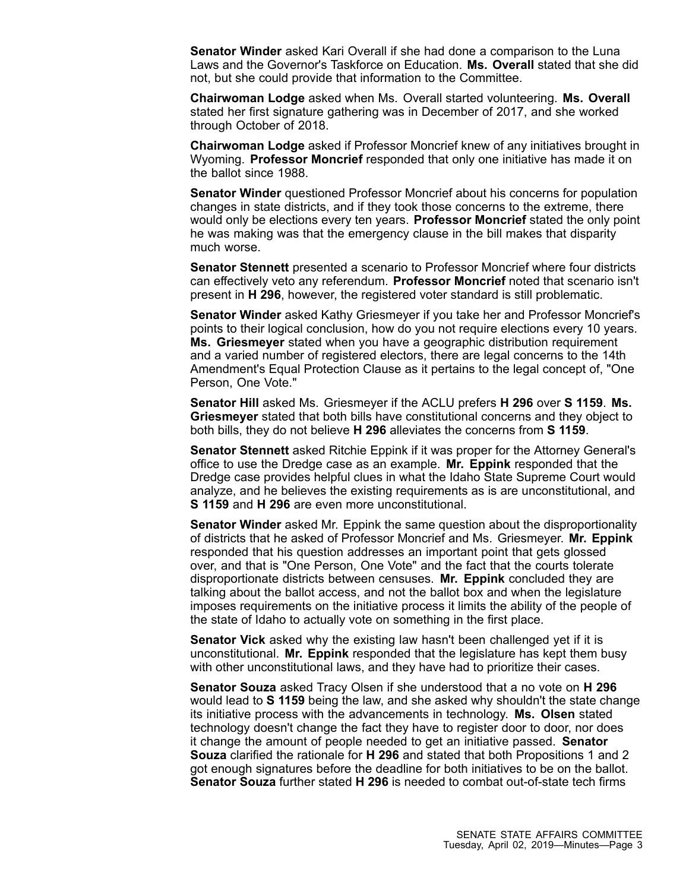**Senator Winder** asked Kari Overall if she had done <sup>a</sup> comparison to the Luna Laws and the Governor's Taskforce on Education. **Ms. Overall** stated that she did not, but she could provide that information to the Committee.

**Chairwoman Lodge** asked when Ms. Overall started volunteering. **Ms. Overall** stated her first signature gathering was in December of 2017, and she worked through October of 2018.

**Chairwoman Lodge** asked if Professor Moncrief knew of any initiatives brought in Wyoming. **Professor Moncrief** responded that only one initiative has made it on the ballot since 1988.

**Senator Winder** questioned Professor Moncrief about his concerns for population changes in state districts, and if they took those concerns to the extreme, there would only be elections every ten years. **Professor Moncrief** stated the only point he was making was that the emergency clause in the bill makes that disparity much worse.

**Senator Stennett** presented <sup>a</sup> scenario to Professor Moncrief where four districts can effectively veto any referendum. **Professor Moncrief** noted that scenario isn't present in **H 296**, however, the registered voter standard is still problematic.

**Senator Winder** asked Kathy Griesmeyer if you take her and Professor Moncrief's points to their logical conclusion, how do you not require elections every 10 years. **Ms. Griesmeyer** stated when you have <sup>a</sup> geographic distribution requirement and <sup>a</sup> varied number of registered electors, there are legal concerns to the 14th Amendment's Equal Protection Clause as it pertains to the legal concept of, "One Person, One Vote."

**Senator Hill** asked Ms. Griesmeyer if the ACLU prefers **H 296** over **S 1159**. **Ms. Griesmeyer** stated that both bills have constitutional concerns and they object to both bills, they do not believe **H 296** alleviates the concerns from **S 1159**.

**Senator Stennett** asked Ritchie Eppink if it was proper for the Attorney General's office to use the Dredge case as an example. **Mr. Eppink** responded that the Dredge case provides helpful clues in what the Idaho State Supreme Court would analyze, and he believes the existing requirements as is are unconstitutional, and **S 1159** and **H 296** are even more unconstitutional.

**Senator Winder** asked Mr. Eppink the same question about the disproportionality of districts that he asked of Professor Moncrief and Ms. Griesmeyer. **Mr. Eppink** responded that his question addresses an important point that gets glossed over, and that is "One Person, One Vote" and the fact that the courts tolerate disproportionate districts between censuses. **Mr. Eppink** concluded they are talking about the ballot access, and not the ballot box and when the legislature imposes requirements on the initiative process it limits the ability of the people of the state of Idaho to actually vote on something in the first place.

**Senator Vick** asked why the existing law hasn't been challenged yet if it is unconstitutional. **Mr. Eppink** responded that the legislature has kept them busy with other unconstitutional laws, and they have had to prioritize their cases.

**Senator Souza** asked Tracy Olsen if she understood that <sup>a</sup> no vote on **H 296** would lead to **S 1159** being the law, and she asked why shouldn't the state change its initiative process with the advancements in technology. **Ms. Olsen** stated technology doesn't change the fact they have to register door to door, nor does it change the amount of people needed to get an initiative passed. **Senator Souza** clarified the rationale for **H 296** and stated that both Propositions 1 and 2 got enough signatures before the deadline for both initiatives to be on the ballot. **Senator Souza** further stated **H 296** is needed to combat out-of-state tech firms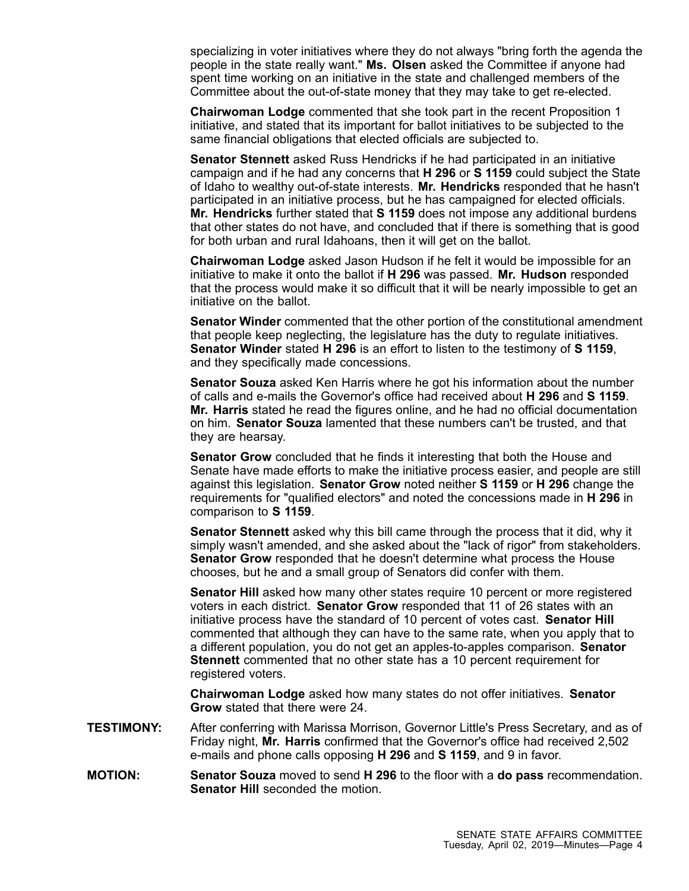specializing in voter initiatives where they do not always "bring forth the agenda the people in the state really want." **Ms. Olsen** asked the Committee if anyone had spent time working on an initiative in the state and challenged members of the Committee about the out-of-state money that they may take to get re-elected.

**Chairwoman Lodge** commented that she took part in the recent Proposition 1 initiative, and stated that its important for ballot initiatives to be subjected to the same financial obligations that elected officials are subjected to.

**Senator Stennett** asked Russ Hendricks if he had participated in an initiative campaign and if he had any concerns that **H 296** or **S 1159** could subject the State of Idaho to wealthy out-of-state interests. **Mr. Hendricks** responded that he hasn't participated in an initiative process, but he has campaigned for elected officials. **Mr. Hendricks** further stated that **S 1159** does not impose any additional burdens that other states do not have, and concluded that if there is something that is good for both urban and rural Idahoans, then it will get on the ballot.

**Chairwoman Lodge** asked Jason Hudson if he felt it would be impossible for an initiative to make it onto the ballot if **H 296** was passed. **Mr. Hudson** responded that the process would make it so difficult that it will be nearly impossible to get an initiative on the ballot.

**Senator Winder** commented that the other portion of the constitutional amendment that people keep neglecting, the legislature has the duty to regulate initiatives. **Senator Winder** stated **H 296** is an effort to listen to the testimony of **S 1159**, and they specifically made concessions.

**Senator Souza** asked Ken Harris where he got his information about the number of calls and e-mails the Governor's office had received about **H 296** and **S 1159**. **Mr. Harris** stated he read the figures online, and he had no official documentation on him. **Senator Souza** lamented that these numbers can't be trusted, and that they are hearsay.

**Senator Grow** concluded that he finds it interesting that both the House and Senate have made efforts to make the initiative process easier, and people are still against this legislation. **Senator Grow** noted neither **S 1159** or **H 296** change the requirements for "qualified electors" and noted the concessions made in **H 296** in comparison to **S 1159**.

**Senator Stennett** asked why this bill came through the process that it did, why it simply wasn't amended, and she asked about the "lack of rigor" from stakeholders. **Senator Grow** responded that he doesn't determine what process the House chooses, but he and <sup>a</sup> small group of Senators did confer with them.

**Senator Hill** asked how many other states require 10 percent or more registered voters in each district. **Senator Grow** responded that 11 of 26 states with an initiative process have the standard of 10 percent of votes cast. **Senator Hill** commented that although they can have to the same rate, when you apply that to <sup>a</sup> different population, you do not get an apples-to-apples comparison. **Senator Stennett** commented that no other state has <sup>a</sup> 10 percent requirement for registered voters.

**Chairwoman Lodge** asked how many states do not offer initiatives. **Senator Grow** stated that there were 24.

- **TESTIMONY:** After conferring with Marissa Morrison, Governor Little's Press Secretary, and as of Friday night, **Mr. Harris** confirmed that the Governor's office had received 2,502 e-mails and phone calls opposing **H 296** and **S 1159**, and 9 in favor.
- **MOTION: Senator Souza** moved to send **H 296** to the floor with <sup>a</sup> **do pass** recommendation. **Senator Hill** seconded the motion.